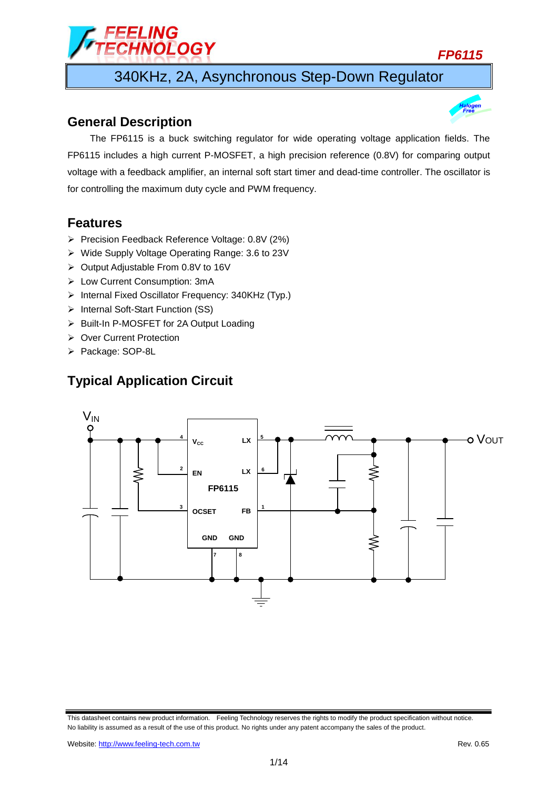340KHz, 2A, Asynchronous Step-Down Regulator

## **General Description**

The FP6115 is a buck switching regulator for wide operating voltage application fields. The FP6115 includes a high current P-MOSFET, a high precision reference (0.8V) for comparing output voltage with a feedback amplifier, an internal soft start timer and dead-time controller. The oscillator is for controlling the maximum duty cycle and PWM frequency.

## **Features**

Precision Feedback Reference Voltage: 0.8V (2%)

ELING<br>HNOLOGY

- Wide Supply Voltage Operating Range: 3.6 to 23V
- ▶ Output Adjustable From 0.8V to 16V
- Low Current Consumption: 3mA
- $\triangleright$  Internal Fixed Oscillator Frequency: 340KHz (Typ.)
- > Internal Soft-Start Function (SS)
- ▶ Built-In P-MOSFET for 2A Output Loading
- ▶ Over Current Protection
- ▶ Package: SOP-8L

# **Typical Application Circuit**





This datasheet contains new product information. Feeling Technology reserves the rights to modify the product specification without notice. No liability is assumed as a result of the use of this product. No rights under any patent accompany the sales of the product.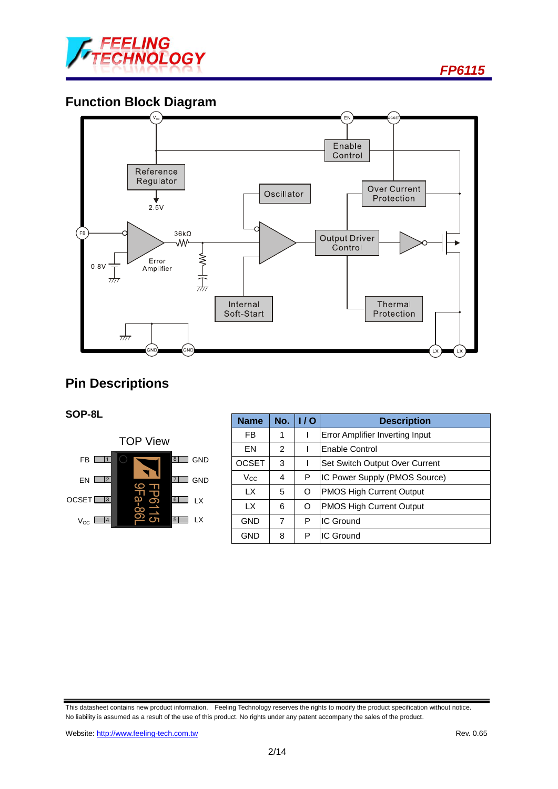

# **Function Block Diagram**



# **Pin Descriptions**

### **SOP-8L**



| <b>Name</b>  | No.            | 1/0 | <b>Description</b>              |  |
|--------------|----------------|-----|---------------------------------|--|
| FB           | 1              |     | Error Amplifier Inverting Input |  |
| EN           | $\mathfrak{p}$ |     | Enable Control                  |  |
| <b>OCSET</b> | 3              |     | Set Switch Output Over Current  |  |
| $\rm V_{CC}$ | 4              | P   | IC Power Supply (PMOS Source)   |  |
| LX.          | 5              | O   | <b>PMOS High Current Output</b> |  |
| LX.          | 6              | O   | <b>PMOS High Current Output</b> |  |
| <b>GND</b>   | 7              | P   | IC Ground                       |  |
| <b>GND</b>   | 8              | P   | IC Ground                       |  |

This datasheet contains new product information. Feeling Technology reserves the rights to modify the product specification without notice. No liability is assumed as a result of the use of this product. No rights under any patent accompany the sales of the product.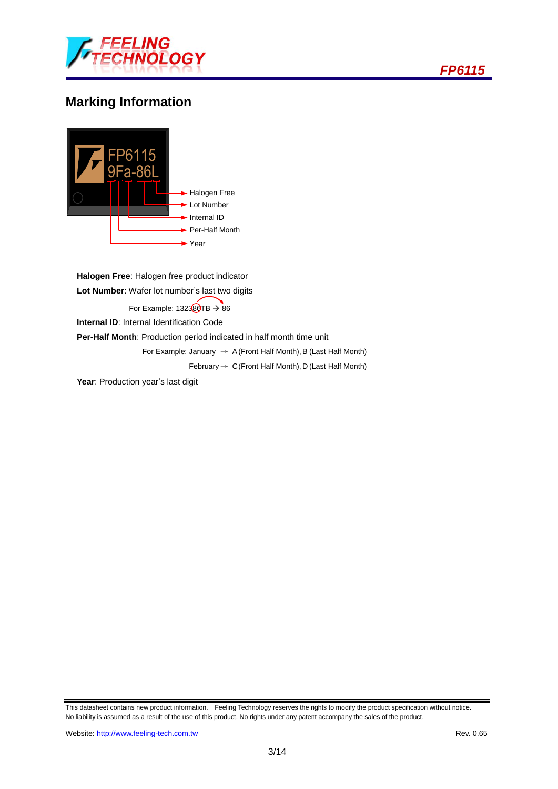

# **Marking Information**



**Halogen Free**: Halogen free product indicator **Lot Number**: Wafer lot number's last two digits For Example:  $132380TB \rightarrow 86$ **Internal ID:** Internal Identification Code **Per-Half Month**: Production period indicated in half month time unit For Example: January  $\rightarrow$  A (Front Half Month), B (Last Half Month) February  $\rightarrow$  C (Front Half Month), D (Last Half Month)

Year: Production year's last digit

This datasheet contains new product information. Feeling Technology reserves the rights to modify the product specification without notice. No liability is assumed as a result of the use of this product. No rights under any patent accompany the sales of the product.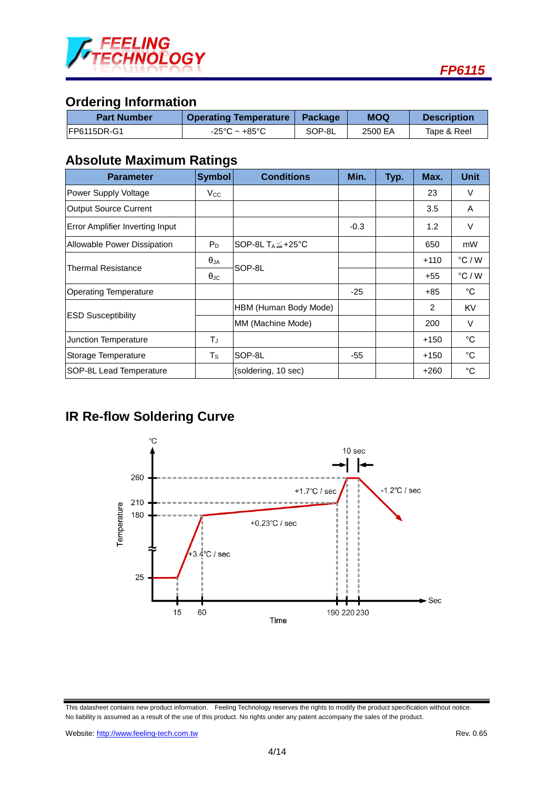

## **Ordering Information**

| <b>Part Number</b> | <b>Operating Temperature   Package</b> |        | MOQ     | <b>Description</b> |  |
|--------------------|----------------------------------------|--------|---------|--------------------|--|
| IFP6115DR-G1       | $-25^{\circ}$ C ~ $+85^{\circ}$ C      | SOP-8L | 2500 EA | Tape & Reel        |  |

## **Absolute Maximum Ratings**

| <b>Parameter</b>                | <b>Symbol</b>        | <b>Conditions</b>              | Min.   | Typ. | Max.   | <b>Unit</b>     |
|---------------------------------|----------------------|--------------------------------|--------|------|--------|-----------------|
| Power Supply Voltage            | $V_{\rm CC}$         |                                |        |      | 23     | V               |
| <b>Output Source Current</b>    |                      |                                |        |      | 3.5    | A               |
| Error Amplifier Inverting Input |                      |                                | $-0.3$ |      | 1.2    | V               |
| Allowable Power Dissipation     | $P_D$                | SOP-8L $T_A \leq +25^{\circ}C$ |        |      | 650    | mW              |
|                                 | $\theta_{JA}$        | SOP-8L                         |        |      | $+110$ | $\degree$ C / W |
| Thermal Resistance              | $\theta_{\text{JC}}$ |                                |        |      | +55    | $\degree$ C / W |
| <b>Operating Temperature</b>    |                      |                                | $-25$  |      | +85    | °C              |
|                                 |                      | HBM (Human Body Mode)          |        |      | 2      | <b>KV</b>       |
| <b>IESD Susceptibility</b>      |                      | MM (Machine Mode)              |        |      | 200    | $\vee$          |
| Junction Temperature            | TJ                   |                                |        |      | $+150$ | $^{\circ}$ C    |
| Storage Temperature             | $T_{\tt S}$          | SOP-8L                         | $-55$  |      | $+150$ | $^{\circ}C$     |
| SOP-8L Lead Temperature         |                      | (soldering, 10 sec)            |        |      | $+260$ | $^{\circ}$ C    |

## **IR Re-flow Soldering Curve**



This datasheet contains new product information. Feeling Technology reserves the rights to modify the product specification without notice. No liability is assumed as a result of the use of this product. No rights under any patent accompany the sales of the product.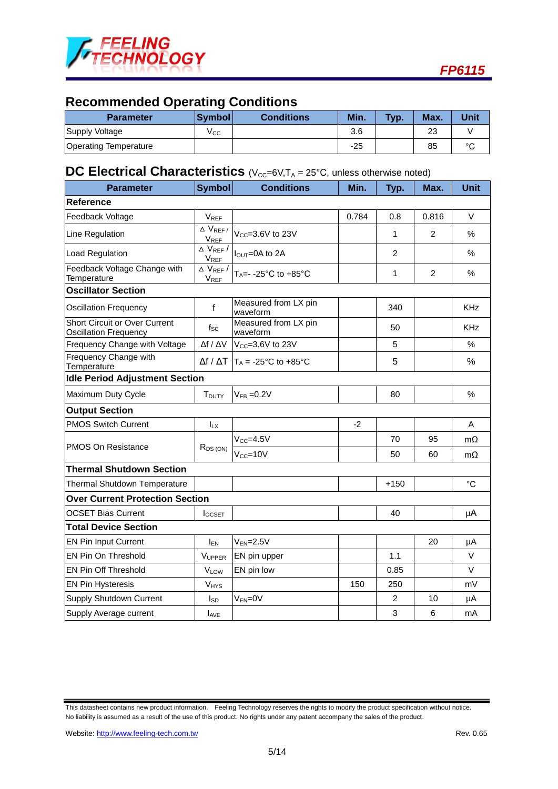

# **Recommended Operating Conditions**

| <b>Parameter</b>             | <b>Symbol</b> | <b>Conditions</b> | Min.  | Typ. | Max.    | <b>Unit</b> |
|------------------------------|---------------|-------------------|-------|------|---------|-------------|
| Supply Voltage               | Vcc           |                   | 3.6   |      | າາ<br>ت |             |
| <b>Operating Temperature</b> |               |                   | $-25$ |      | 85      | $\sim$      |

## **DC Electrical Characteristics** (V<sub>CC</sub>=6V,T<sub>A</sub> = 25°C, unless otherwise noted)

| <b>Parameter</b>                                                     | <b>Symbol</b>                                             | <b>Conditions</b>                                       | Min.  | Typ.   | Max.           | <b>Unit</b> |  |
|----------------------------------------------------------------------|-----------------------------------------------------------|---------------------------------------------------------|-------|--------|----------------|-------------|--|
| Reference                                                            |                                                           |                                                         |       |        |                |             |  |
| Feedback Voltage                                                     | $V_{REF}$                                                 |                                                         | 0.784 | 0.8    | 0.816          | V           |  |
| Line Regulation                                                      | $\overline{\Delta}$ V <sub>REF/</sub><br>$V_{\text{REF}}$ | V <sub>cc</sub> =3.6V to 23V                            |       | 1      | $\overline{2}$ | $\%$        |  |
| <b>Load Regulation</b>                                               | $\overline{\Delta}$ V <sub>REF</sub> /<br>$V_{REF}$       | $IQUT=0A$ to 2A                                         |       | 2      |                | $\%$        |  |
| Feedback Voltage Change with<br>Temperature                          | $\Delta$ V <sub>REF</sub> /<br>VREF                       | T <sub>A</sub> =--25°C to +85°C                         |       | 1      | $\overline{2}$ | %           |  |
| <b>Oscillator Section</b>                                            |                                                           |                                                         |       |        |                |             |  |
| <b>Oscillation Frequency</b>                                         | f                                                         | Measured from LX pin<br>waveform                        |       | 340    |                | <b>KHz</b>  |  |
| <b>Short Circuit or Over Current</b><br><b>Oscillation Frequency</b> | $f_{SC}$                                                  | Measured from LX pin<br>waveform                        |       | 50     |                | <b>KHz</b>  |  |
| Frequency Change with Voltage                                        | $\Delta f / \Delta V$                                     | V <sub>cc</sub> =3.6V to 23V                            |       | 5      |                | $\%$        |  |
| Frequency Change with<br>Temperature                                 |                                                           | $\Delta f / \Delta T$   T <sub>A</sub> = -25°C to +85°C |       | 5      |                | %           |  |
| <b>Idle Period Adjustment Section</b>                                |                                                           |                                                         |       |        |                |             |  |
| Maximum Duty Cycle                                                   | <b>T</b> <sub>DUTY</sub>                                  | $V_{FB} = 0.2V$                                         |       | 80     |                | $\%$        |  |
| <b>Output Section</b>                                                |                                                           |                                                         |       |        |                |             |  |
| <b>PMOS Switch Current</b>                                           | $I_{LX}$                                                  |                                                         | $-2$  |        |                | A           |  |
| <b>PMOS On Resistance</b>                                            | $R_{DS(ON)}$                                              | $V_{CC} = 4.5V$                                         |       | 70     | 95             | $m\Omega$   |  |
|                                                                      |                                                           | $V_{CC} = 10V$                                          |       | 50     | 60             | $m\Omega$   |  |
| <b>Thermal Shutdown Section</b>                                      |                                                           |                                                         |       |        |                |             |  |
| Thermal Shutdown Temperature                                         |                                                           |                                                         |       | $+150$ |                | $^{\circ}C$ |  |
| <b>Over Current Protection Section</b>                               |                                                           |                                                         |       |        |                |             |  |
| <b>OCSET Bias Current</b>                                            | <b>I</b> OCSET                                            |                                                         |       | 40     |                | μA          |  |
| <b>Total Device Section</b>                                          |                                                           |                                                         |       |        |                |             |  |
| <b>EN Pin Input Current</b>                                          | <b>I<sub>EN</sub></b>                                     | $V_{EN} = 2.5V$                                         |       |        | 20             | μA          |  |
| EN Pin On Threshold                                                  | VUPPER                                                    | EN pin upper                                            |       | 1.1    |                | V           |  |
| EN Pin Off Threshold                                                 | <b>VLOW</b>                                               | EN pin low                                              |       | 0.85   |                | V           |  |
| <b>EN Pin Hysteresis</b>                                             | <b>V<sub>HYS</sub></b>                                    |                                                         | 150   | 250    |                | mV          |  |
| Supply Shutdown Current                                              | Isp                                                       | $V_{EN} = 0V$                                           |       | 2      | 10             | μA          |  |
| Supply Average current                                               | <b>LAVE</b>                                               |                                                         |       | 3      | 6              | mA          |  |

This datasheet contains new product information. Feeling Technology reserves the rights to modify the product specification without notice. No liability is assumed as a result of the use of this product. No rights under any patent accompany the sales of the product.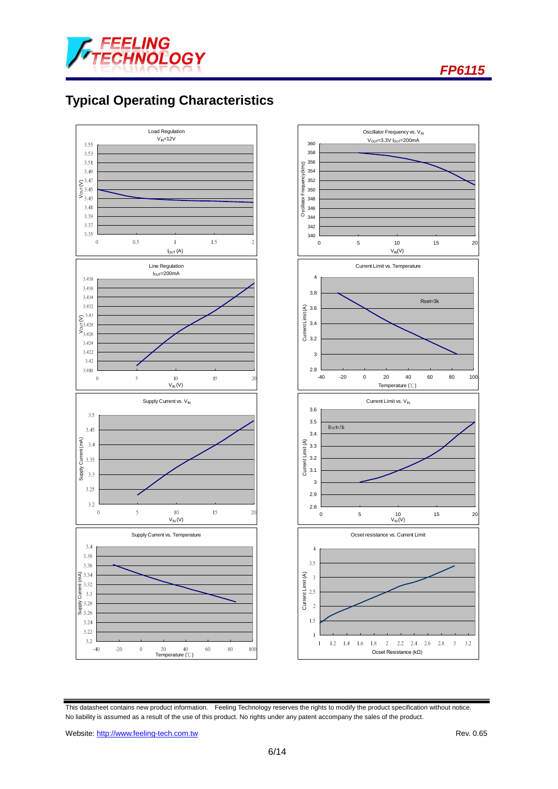

# **Typical Operating Characteristics**



This datasheet contains new product information. Feeling Technology reserves the rights to modify the product specification without notice. No liability is assumed as a result of the use of this product. No rights under any patent accompany the sales of the product.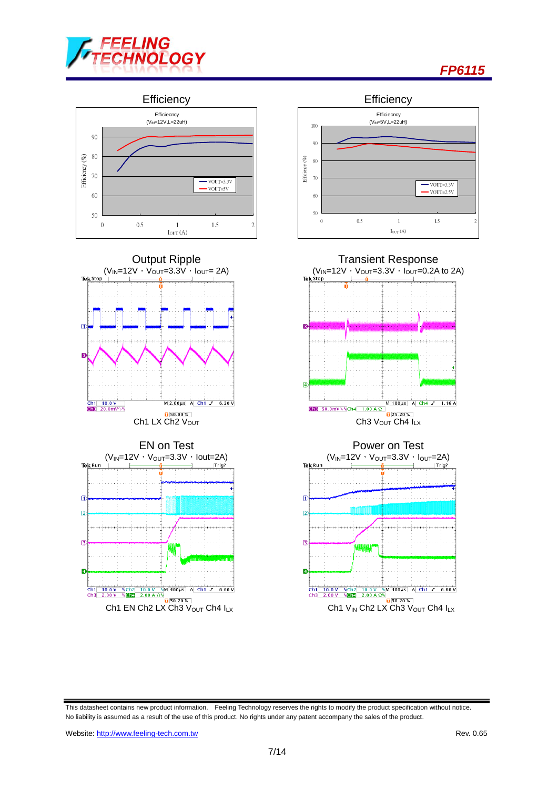



This datasheet contains new product information. Feeling Technology reserves the rights to modify the product specification without notice. No liability is assumed as a result of the use of this product. No rights under any patent accompany the sales of the product.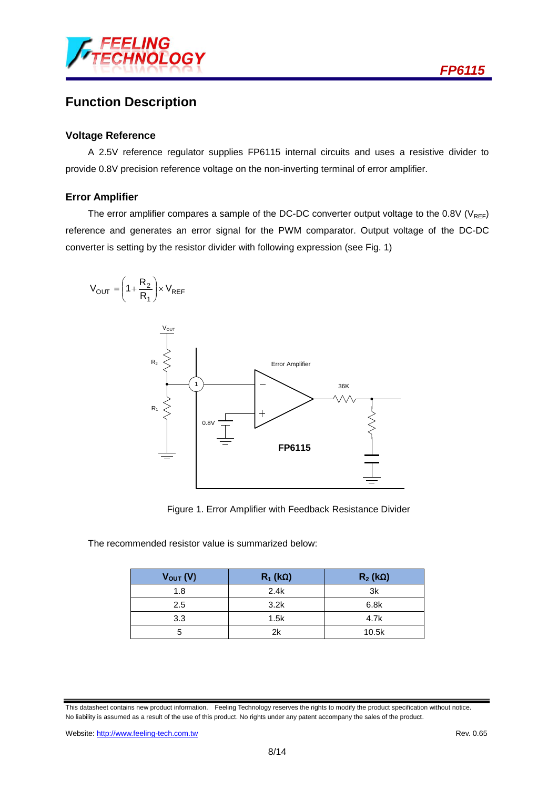

## **Function Description**

#### **Voltage Reference**

A 2.5V reference regulator supplies FP6115 internal circuits and uses a resistive divider to provide 0.8V precision reference voltage on the non-inverting terminal of error amplifier.

#### **Error Amplifier**

The error amplifier compares a sample of the DC-DC converter output voltage to the  $0.8V$  (V<sub>REF</sub>) reference and generates an error signal for the PWM comparator. Output voltage of the DC-DC converter is setting by the resistor divider with following expression (see Fig. 1)



Figure 1. Error Amplifier with Feedback Resistance Divider

The recommended resistor value is summarized below:

| $V_{OUT} (V)$ | $R_1$ (kΩ) | $R_2$ (kΩ) |
|---------------|------------|------------|
| 1.8           | 2.4k       | 3k         |
| $2.5\,$       | 3.2k       | 6.8k       |
| 3.3           | 1.5k       | 4.7k       |
| 5             | 2k         | 10.5k      |

This datasheet contains new product information. Feeling Technology reserves the rights to modify the product specification without notice. No liability is assumed as a result of the use of this product. No rights under any patent accompany the sales of the product.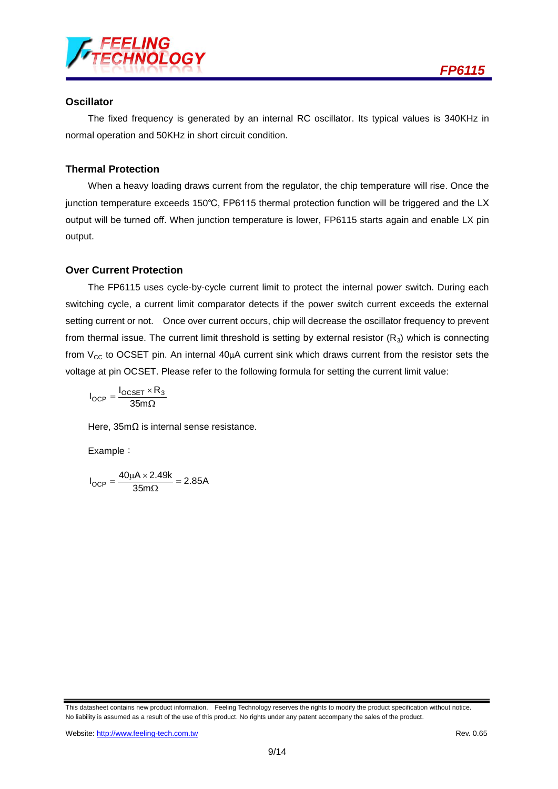

### **Oscillator**

The fixed frequency is generated by an internal RC oscillator. Its typical values is 340KHz in normal operation and 50KHz in short circuit condition.

### **Thermal Protection**

When a heavy loading draws current from the regulator, the chip temperature will rise. Once the junction temperature exceeds 150℃, FP6115 thermal protection function will be triggered and the LX output will be turned off. When junction temperature is lower, FP6115 starts again and enable LX pin output.

### **Over Current Protection**

The FP6115 uses cycle-by-cycle current limit to protect the internal power switch. During each switching cycle, a current limit comparator detects if the power switch current exceeds the external setting current or not. Once over current occurs, chip will decrease the oscillator frequency to prevent from thermal issue. The current limit threshold is setting by external resistor  $(R_3)$  which is connecting from  $V_{CC}$  to OCSET pin. An internal 40 $\mu$ A current sink which draws current from the resistor sets the voltage at pin OCSET. Please refer to the following formula for setting the current limit value:

$$
I_{OCP} = \frac{I_{OCSET} \times R_3}{35m\Omega}
$$

Here, 35mΩ is internal sense resistance.

Example:

 $\frac{35 \text{ m}\Omega}{35 \text{ m}\Omega} = 2.85 \text{A}$  $I_{\text{OCP}} = \frac{40 \mu A \times 2.49 k}{35 m \Omega} =$  $=\frac{40\mu A \times}{2}$ 

This datasheet contains new product information. Feeling Technology reserves the rights to modify the product specification without notice. No liability is assumed as a result of the use of this product. No rights under any patent accompany the sales of the product.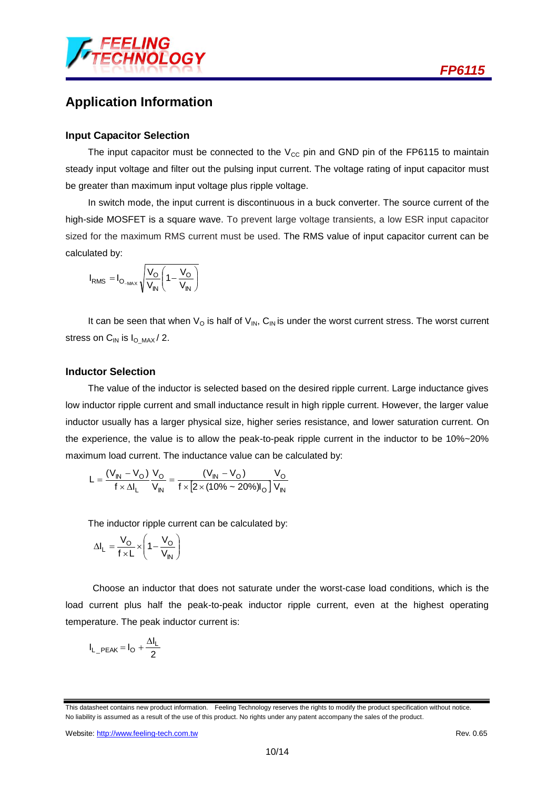

## **Application Information**

#### **Input Capacitor Selection**

The input capacitor must be connected to the  $V_{CC}$  pin and GND pin of the FP6115 to maintain steady input voltage and filter out the pulsing input current. The voltage rating of input capacitor must be greater than maximum input voltage plus ripple voltage.

In switch mode, the input current is discontinuous in a buck converter. The source current of the high-side MOSFET is a square wave. To prevent large voltage transients, a low ESR input capacitor sized for the maximum RMS current must be used. The RMS value of input capacitor current can be calculated by:

$$
I_{RMS} = I_{O_{-MAX}} \sqrt{\frac{V_O}{V_{IN}} \left(1 - \frac{V_O}{V_{IN}}\right)}
$$

It can be seen that when  $V_{\text{O}}$  is half of  $V_{\text{IN}}$ , C<sub>IN</sub> is under the worst current stress. The worst current stress on  $C_{IN}$  is  $I_{O~MAX} / 2$ .

#### **Inductor Selection**

The value of the inductor is selected based on the desired ripple current. Large inductance gives low inductor ripple current and small inductance result in high ripple current. However, the larger value inductor usually has a larger physical size, higher series resistance, and lower saturation current. On the experience, the value is to allow the peak-to-peak ripple current in the inductor to be 10%~20% maximum load current. The inductance value can be calculated by:

$$
L = \frac{(V_{IN} - V_{O})}{f \times \Delta I_{L}} \frac{V_{O}}{V_{IN}} = \frac{(V_{IN} - V_{O})}{f \times [2 \times (10\% - 20\%)I_{O}]} \frac{V_{O}}{V_{IN}}
$$

The inductor ripple current can be calculated by:

$$
\Delta I_{L} = \frac{V_{O}}{f \times L} \times \left(1 - \frac{V_{O}}{V_{IN}}\right)
$$

Choose an inductor that does not saturate under the worst-case load conditions, which is the load current plus half the peak-to-peak inductor ripple current, even at the highest operating temperature. The peak inductor current is:

$$
I_{L\_PEAK} = I_O + \frac{\Delta I_L}{2}
$$

This datasheet contains new product information. Feeling Technology reserves the rights to modify the product specification without notice. No liability is assumed as a result of the use of this product. No rights under any patent accompany the sales of the product.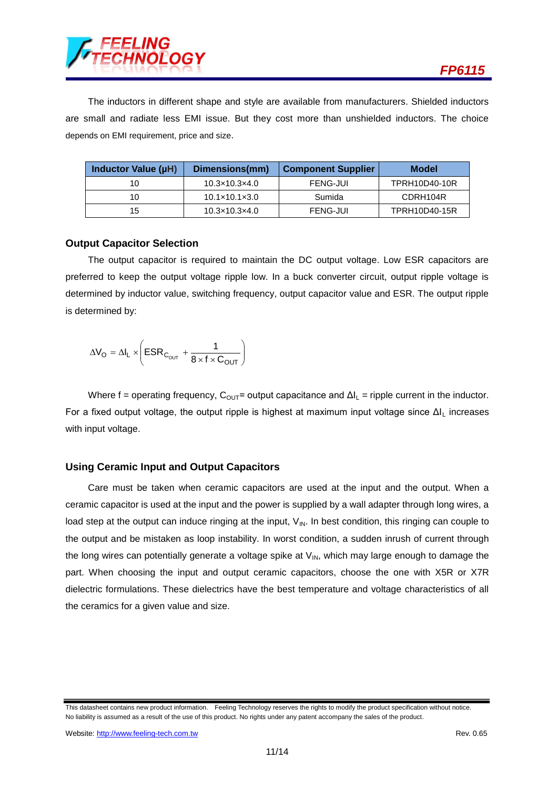

The inductors in different shape and style are available from manufacturers. Shielded inductors are small and radiate less EMI issue. But they cost more than unshielded inductors. The choice depends on EMI requirement, price and size.

| Inductor Value (µH) | Dimensions(mm)                | <b>Component Supplier</b> | Model         |
|---------------------|-------------------------------|---------------------------|---------------|
| 10                  | $10.3 \times 10.3 \times 4.0$ | <b>FENG-JUI</b>           | TPRH10D40-10R |
| 10                  | $10.1 \times 10.1 \times 3.0$ | Sumida                    | CDRH104R      |
| 15                  | $10.3 \times 10.3 \times 4.0$ | <b>FENG-JUI</b>           | TPRH10D40-15R |

#### **Output Capacitor Selection**

The output capacitor is required to maintain the DC output voltage. Low ESR capacitors are preferred to keep the output voltage ripple low. In a buck converter circuit, output ripple voltage is determined by inductor value, switching frequency, output capacitor value and ESR. The output ripple is determined by:

$$
\Delta V_O = \Delta I_L \times \left( \text{ESR}_{C_{OUT}} + \frac{1}{8 \times f \times C_{OUT}} \right)
$$

Where f = operating frequency,  $C_{\text{OUT}}$  = output capacitance and  $\Delta l_{\text{L}}$  = ripple current in the inductor. For a fixed output voltage, the output ripple is highest at maximum input voltage since ΔI<sup>L</sup> increases with input voltage.

### **Using Ceramic Input and Output Capacitors**

Care must be taken when ceramic capacitors are used at the input and the output. When a ceramic capacitor is used at the input and the power is supplied by a wall adapter through long wires, a load step at the output can induce ringing at the input,  $V_{\text{IN}}$ . In best condition, this ringing can couple to the output and be mistaken as loop instability. In worst condition, a sudden inrush of current through the long wires can potentially generate a voltage spike at  $V_{IN}$ , which may large enough to damage the part. When choosing the input and output ceramic capacitors, choose the one with X5R or X7R dielectric formulations. These dielectrics have the best temperature and voltage characteristics of all the ceramics for a given value and size.

This datasheet contains new product information. Feeling Technology reserves the rights to modify the product specification without notice. No liability is assumed as a result of the use of this product. No rights under any patent accompany the sales of the product.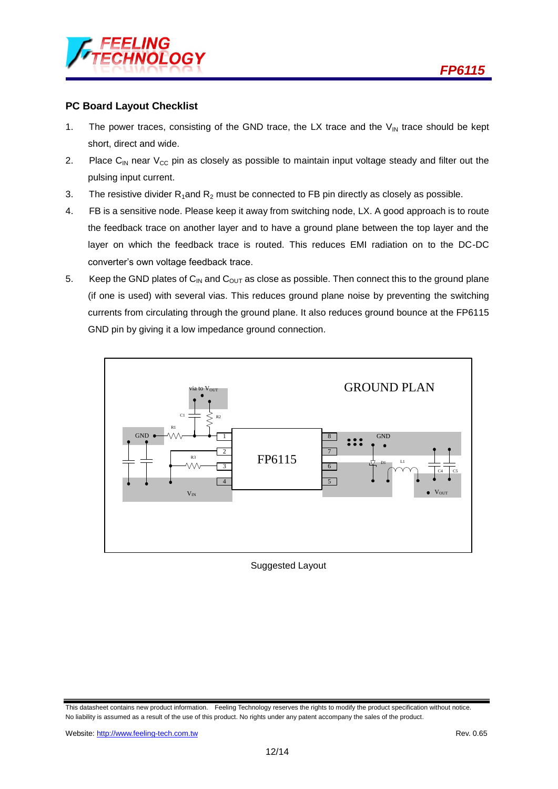#### **PC Board Layout Checklist**

- 1. The power traces, consisting of the GND trace, the LX trace and the  $V_{\text{IN}}$  trace should be kept short, direct and wide.
- 2. Place C<sub>IN</sub> near V<sub>CC</sub> pin as closely as possible to maintain input voltage steady and filter out the pulsing input current.
- 3. The resistive divider  $R_1$ and  $R_2$  must be connected to FB pin directly as closely as possible.
- 4. FB is a sensitive node. Please keep it away from switching node, LX. A good approach is to route the feedback trace on another layer and to have a ground plane between the top layer and the layer on which the feedback trace is routed. This reduces EMI radiation on to the DC-DC converter's own voltage feedback trace.
- 5. Keep the GND plates of  $C_{\text{IN}}$  and  $C_{\text{OUT}}$  as close as possible. Then connect this to the ground plane (if one is used) with several vias. This reduces ground plane noise by preventing the switching currents from circulating through the ground plane. It also reduces ground bounce at the FP6115 GND pin by giving it a low impedance ground connection.



Suggested Layout

This datasheet contains new product information. Feeling Technology reserves the rights to modify the product specification without notice. No liability is assumed as a result of the use of this product. No rights under any patent accompany the sales of the product.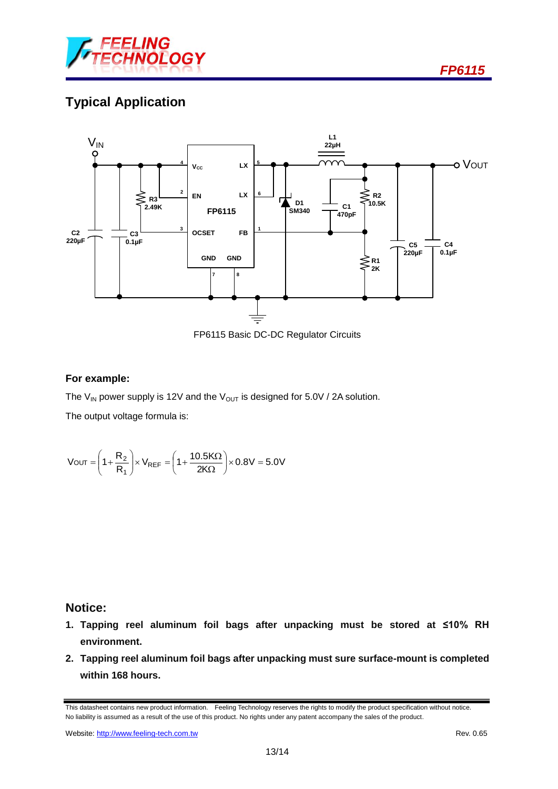

# **Typical Application**



FP6115 Basic DC-DC Regulator Circuits

### **For example:**

The V<sub>IN</sub> power supply is 12V and the V<sub>OUT</sub> is designed for 5.0V / 2A solution.

The output voltage formula is:

$$
V\text{OUT}=\left(1+\frac{R_2}{R_1}\right)\!\times V_{REF}=\!\left(1+\frac{10.5K\Omega}{2K\Omega}\right)\!\times 0.8V=5.0V
$$

### **Notice:**

- **1. Tapping reel aluminum foil bags after unpacking must be stored at ≤10% RH environment.**
- **2. Tapping reel aluminum foil bags after unpacking must sure surface-mount is completed within 168 hours.**

This datasheet contains new product information. Feeling Technology reserves the rights to modify the product specification without notice. No liability is assumed as a result of the use of this product. No rights under any patent accompany the sales of the product.